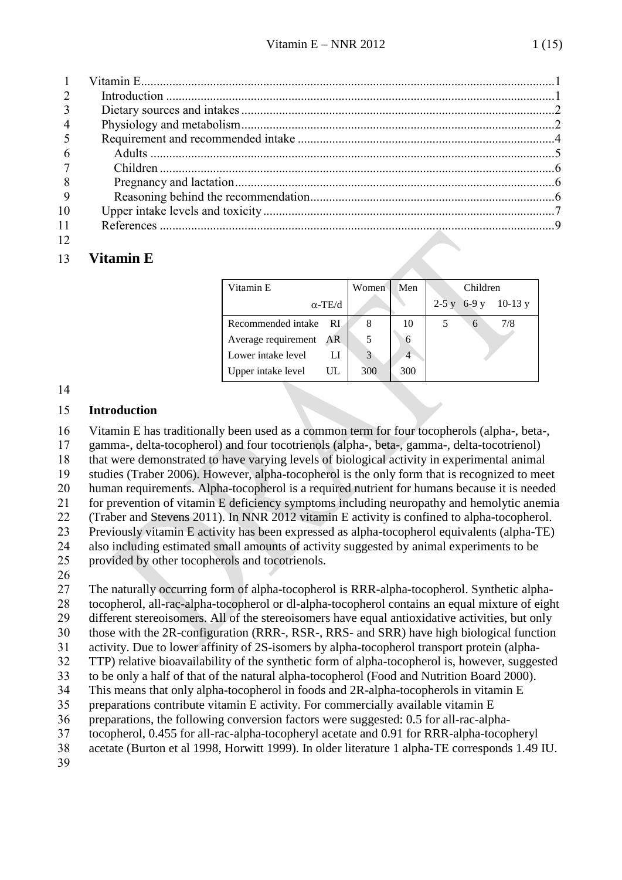| $\overline{4}$ |  |
|----------------|--|
|                |  |
|                |  |
|                |  |
| 8              |  |
| -9             |  |
| 10             |  |
| 11             |  |
| 12             |  |

### <span id="page-0-0"></span>**Vitamin E**

| Vitamin E                  | Women | Men | Children             |
|----------------------------|-------|-----|----------------------|
| $\alpha$ -TE/d             |       |     | $2-5y$ 6-9 y 10-13 y |
| Recommended intake<br>- RI | 8     | 10  | 7/8<br>6             |
| Average requirement AR     |       | 6   |                      |
| Lower intake level         |       | 4   |                      |
| Upper intake level<br>UL   | 300   | 300 |                      |

#### <span id="page-0-1"></span>**Introduction**

 Vitamin E has traditionally been used as a common term for four tocopherols (alpha-, beta-, gamma-, delta-tocopherol) and four tocotrienols (alpha-, beta-, gamma-, delta-tocotrienol)

that were demonstrated to have varying levels of biological activity in experimental animal

studies (Traber 2006). However, alpha-tocopherol is the only form that is recognized to meet

human requirements. Alpha-tocopherol is a required nutrient for humans because it is needed

for prevention of vitamin E deficiency symptoms including neuropathy and hemolytic anemia

(Traber and Stevens 2011). In NNR 2012 vitamin E activity is confined to alpha-tocopherol.

Previously vitamin E activity has been expressed as alpha-tocopherol equivalents (alpha-TE)

 also including estimated small amounts of activity suggested by animal experiments to be provided by other tocopherols and tocotrienols.

 The naturally occurring form of alpha-tocopherol is RRR-alpha-tocopherol. Synthetic alpha- tocopherol, all-rac-alpha-tocopherol or dl-alpha-tocopherol contains an equal mixture of eight different stereoisomers. All of the stereoisomers have equal antioxidative activities, but only

those with the 2R-configuration (RRR-, RSR-, RRS- and SRR) have high biological function

activity. Due to lower affinity of 2S-isomers by alpha-tocopherol transport protein (alpha-

- TTP) relative bioavailability of the synthetic form of alpha-tocopherol is, however, suggested
- to be only a half of that of the natural alpha-tocopherol (Food and Nutrition Board 2000).
- This means that only alpha-tocopherol in foods and 2R-alpha-tocopherols in vitamin E
- preparations contribute vitamin E activity. For commercially available vitamin E
- preparations, the following conversion factors were suggested: 0.5 for all-rac-alpha-
- tocopherol, 0.455 for all-rac-alpha-tocopheryl acetate and 0.91 for RRR-alpha-tocopheryl
- acetate (Burton et al 1998, Horwitt 1999). In older literature 1 alpha-TE corresponds 1.49 IU.
-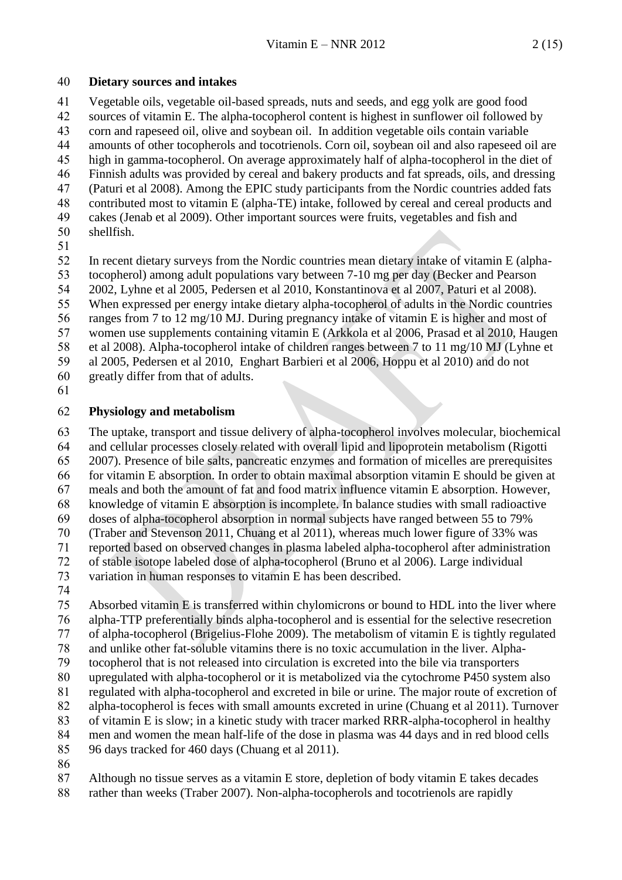#### <span id="page-1-0"></span>**Dietary sources and intakes**

 Vegetable oils, vegetable oil-based spreads, nuts and seeds, and egg yolk are good food sources of vitamin E. The alpha-tocopherol content is highest in sunflower oil followed by corn and rapeseed oil, olive and soybean oil. In addition vegetable oils contain variable amounts of other tocopherols and tocotrienols. Corn oil, soybean oil and also rapeseed oil are high in gamma-tocopherol. On average approximately half of alpha-tocopherol in the diet of Finnish adults was provided by cereal and bakery products and fat spreads, oils, and dressing (Paturi et al 2008). Among the EPIC study participants from the Nordic countries added fats contributed most to vitamin E (alpha-TE) intake, followed by cereal and cereal products and cakes (Jenab et al 2009). Other important sources were fruits, vegetables and fish and shellfish.

In recent dietary surveys from the Nordic countries mean dietary intake of vitamin E (alpha-

- tocopherol) among adult populations vary between 7-10 mg per day (Becker and Pearson
- 2002, Lyhne et al 2005, Pedersen et al 2010, Konstantinova et al 2007, Paturi et al 2008). When expressed per energy intake dietary alpha-tocopherol of adults in the Nordic countries
- ranges from 7 to 12 mg/10 MJ. During pregnancy intake of vitamin E is higher and most of
- women use supplements containing vitamin E (Arkkola et al 2006, Prasad et al 2010, Haugen
- et al 2008). Alpha-tocopherol intake of children ranges between 7 to 11 mg/10 MJ (Lyhne et
- al 2005, Pedersen et al 2010, Enghart Barbieri et al 2006, Hoppu et al 2010) and do not
- greatly differ from that of adults.
- 

#### <span id="page-1-1"></span>**Physiology and metabolism**

 The uptake, transport and tissue delivery of alpha-tocopherol involves molecular, biochemical and cellular processes closely related with overall lipid and lipoprotein metabolism (Rigotti 2007). Presence of bile salts, pancreatic enzymes and formation of micelles are prerequisites for vitamin E absorption. In order to obtain maximal absorption vitamin E should be given at meals and both the amount of fat and food matrix influence vitamin E absorption. However, knowledge of vitamin E absorption is incomplete. In balance studies with small radioactive doses of alpha-tocopherol absorption in normal subjects have ranged between 55 to 79% (Traber and Stevenson 2011, Chuang et al 2011), whereas much lower figure of 33% was reported based on observed changes in plasma labeled alpha-tocopherol after administration of stable isotope labeled dose of alpha-tocopherol (Bruno et al 2006). Large individual variation in human responses to vitamin E has been described.

 Absorbed vitamin E is transferred within chylomicrons or bound to HDL into the liver where alpha-TTP preferentially binds alpha-tocopherol and is essential for the selective resecretion of alpha-tocopherol (Brigelius-Flohe 2009). The metabolism of vitamin E is tightly regulated and unlike other fat-soluble vitamins there is no toxic accumulation in the liver. Alpha- tocopherol that is not released into circulation is excreted into the bile via transporters upregulated with alpha-tocopherol or it is metabolized via the cytochrome P450 system also regulated with alpha-tocopherol and excreted in bile or urine. The major route of excretion of alpha-tocopherol is feces with small amounts excreted in urine (Chuang et al 2011). Turnover of vitamin E is slow; in a kinetic study with tracer marked RRR-alpha-tocopherol in healthy men and women the mean half-life of the dose in plasma was 44 days and in red blood cells 96 days tracked for 460 days (Chuang et al 2011).

Although no tissue serves as a vitamin E store, depletion of body vitamin E takes decades

rather than weeks (Traber 2007). Non-alpha-tocopherols and tocotrienols are rapidly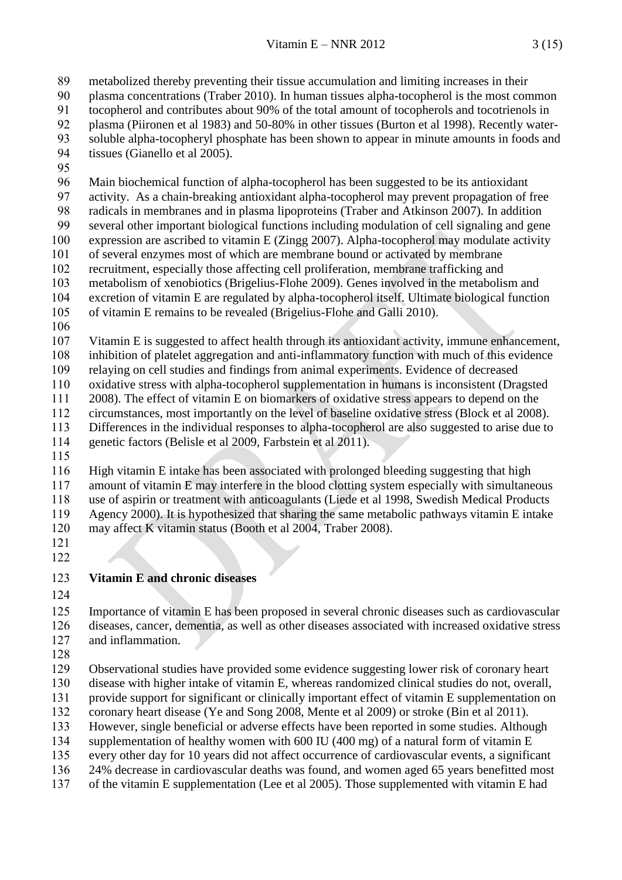metabolized thereby preventing their tissue accumulation and limiting increases in their

plasma concentrations (Traber 2010). In human tissues alpha-tocopherol is the most common

tocopherol and contributes about 90% of the total amount of tocopherols and tocotrienols in

- plasma (Piironen et al 1983) and 50-80% in other tissues (Burton et al 1998). Recently water-soluble alpha-tocopheryl phosphate has been shown to appear in minute amounts in foods and
- tissues (Gianello et al 2005).
- 

 Main biochemical function of alpha-tocopherol has been suggested to be its antioxidant activity. As a chain-breaking antioxidant alpha-tocopherol may prevent propagation of free

 radicals in membranes and in plasma lipoproteins (Traber and Atkinson 2007). In addition several other important biological functions including modulation of cell signaling and gene expression are ascribed to vitamin E (Zingg 2007). Alpha-tocopherol may modulate activity of several enzymes most of which are membrane bound or activated by membrane

recruitment, especially those affecting cell proliferation, membrane trafficking and

metabolism of xenobiotics (Brigelius-Flohe 2009). Genes involved in the metabolism and

 excretion of vitamin E are regulated by alpha-tocopherol itself. Ultimate biological function of vitamin E remains to be revealed (Brigelius-Flohe and Galli 2010).

 Vitamin E is suggested to affect health through its antioxidant activity, immune enhancement, inhibition of platelet aggregation and anti-inflammatory function with much of this evidence relaying on cell studies and findings from animal experiments. Evidence of decreased oxidative stress with alpha-tocopherol supplementation in humans is inconsistent (Dragsted 2008). The effect of vitamin E on biomarkers of oxidative stress appears to depend on the circumstances, most importantly on the level of baseline oxidative stress (Block et al 2008).

 Differences in the individual responses to alpha-tocopherol are also suggested to arise due to genetic factors (Belisle et al 2009, Farbstein et al 2011).

 High vitamin E intake has been associated with prolonged bleeding suggesting that high amount of vitamin E may interfere in the blood clotting system especially with simultaneous use of aspirin or treatment with anticoagulants (Liede et al 1998, Swedish Medical Products Agency 2000). It is hypothesized that sharing the same metabolic pathways vitamin E intake may affect K vitamin status (Booth et al 2004, Traber 2008).

- 
- 

### **Vitamin E and chronic diseases**

 Importance of vitamin E has been proposed in several chronic diseases such as cardiovascular diseases, cancer, dementia, as well as other diseases associated with increased oxidative stress and inflammation.

 Observational studies have provided some evidence suggesting lower risk of coronary heart disease with higher intake of vitamin E, whereas randomized clinical studies do not, overall, provide support for significant or clinically important effect of vitamin E supplementation on coronary heart disease (Ye and Song 2008, Mente et al 2009) or stroke (Bin et al 2011). However, single beneficial or adverse effects have been reported in some studies. Although supplementation of healthy women with 600 IU (400 mg) of a natural form of vitamin E every other day for 10 years did not affect occurrence of cardiovascular events, a significant

 24% decrease in cardiovascular deaths was found, and women aged 65 years benefitted most of the vitamin E supplementation (Lee et al 2005). Those supplemented with vitamin E had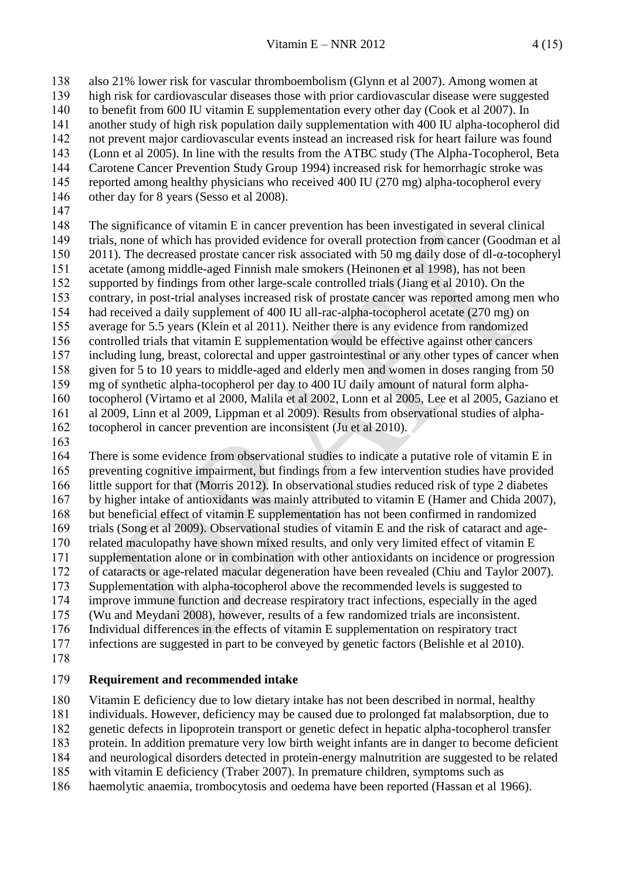also 21% lower risk for vascular thromboembolism (Glynn et al 2007). Among women at high risk for cardiovascular diseases those with prior cardiovascular disease were suggested to benefit from 600 IU vitamin E supplementation every other day (Cook et al 2007). In another study of high risk population daily supplementation with 400 IU alpha-tocopherol did not prevent major cardiovascular events instead an increased risk for heart failure was found (Lonn et al 2005). In line with the results from the ATBC study (The Alpha-Tocopherol, Beta Carotene Cancer Prevention Study Group 1994) increased risk for hemorrhagic stroke was reported among healthy physicians who received 400 IU (270 mg) alpha-tocopherol every other day for 8 years (Sesso et al 2008). The significance of vitamin E in cancer prevention has been investigated in several clinical trials, none of which has provided evidence for overall protection from cancer (Goodman et al 2011). The decreased prostate cancer risk associated with 50 mg daily dose of dl-α-tocopheryl acetate (among middle-aged Finnish male smokers (Heinonen et al 1998), has not been supported by findings from other large-scale controlled trials (Jiang et al 2010). On the contrary, in post-trial analyses increased risk of prostate cancer was reported among men who had received a daily supplement of 400 IU all-rac-alpha-tocopherol acetate (270 mg) on average for 5.5 years (Klein et al 2011). Neither there is any evidence from randomized

 controlled trials that vitamin E supplementation would be effective against other cancers including lung, breast, colorectal and upper gastrointestinal or any other types of cancer when given for 5 to 10 years to middle-aged and elderly men and women in doses ranging from 50 mg of synthetic alpha-tocopherol per day to 400 IU daily amount of natural form alpha- tocopherol (Virtamo et al 2000, Malila et al 2002, Lonn et al 2005, Lee et al 2005, Gaziano et al 2009, Linn et al 2009, Lippman et al 2009). Results from observational studies of alpha-tocopherol in cancer prevention are inconsistent (Ju et al 2010).

 There is some evidence from observational studies to indicate a putative role of vitamin E in preventing cognitive impairment, but findings from a few intervention studies have provided little support for that (Morris 2012). In observational studies reduced risk of type 2 diabetes by higher intake of antioxidants was mainly attributed to vitamin E (Hamer and Chida 2007), but beneficial effect of vitamin E supplementation has not been confirmed in randomized trials (Song et al 2009). Observational studies of vitamin E and the risk of cataract and age- related maculopathy have shown mixed results, and only very limited effect of vitamin E supplementation alone or in combination with other antioxidants on incidence or progression of cataracts or age-related macular degeneration have been revealed (Chiu and Taylor 2007). Supplementation with alpha-tocopherol above the recommended levels is suggested to improve immune function and decrease respiratory tract infections, especially in the aged (Wu and Meydani 2008), however, results of a few randomized trials are inconsistent. Individual differences in the effects of vitamin E supplementation on respiratory tract infections are suggested in part to be conveyed by genetic factors (Belishle et al 2010).

#### <span id="page-3-0"></span>**Requirement and recommended intake**

 Vitamin E deficiency due to low dietary intake has not been described in normal, healthy individuals. However, deficiency may be caused due to prolonged fat malabsorption, due to genetic defects in lipoprotein transport or genetic defect in hepatic alpha-tocopherol transfer

protein. In addition premature very low birth weight infants are in danger to become deficient

and neurological disorders detected in protein-energy malnutrition are suggested to be related

with vitamin E deficiency (Traber 2007). In premature children, symptoms such as

haemolytic anaemia, trombocytosis and oedema have been reported (Hassan et al 1966).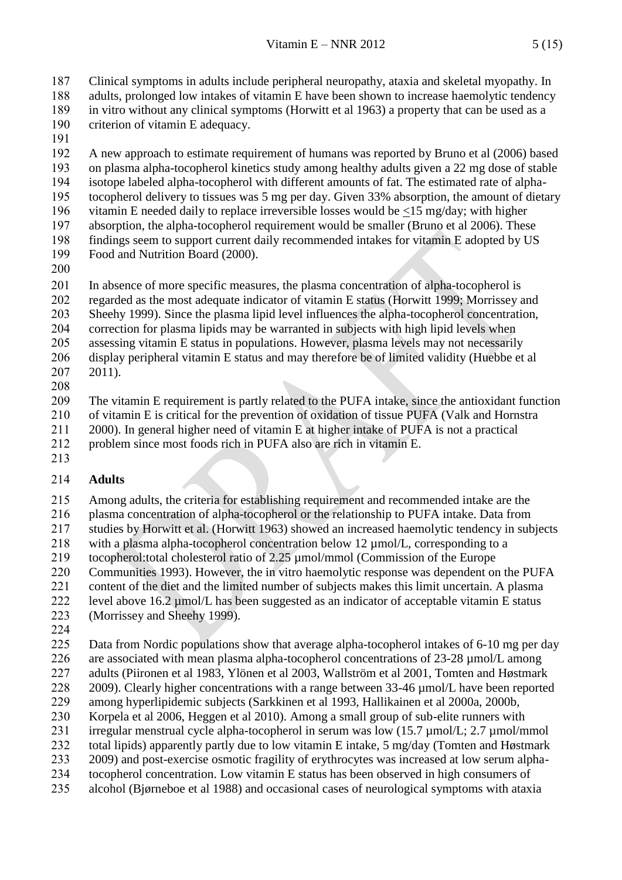Clinical symptoms in adults include peripheral neuropathy, ataxia and skeletal myopathy. In adults, prolonged low intakes of vitamin E have been shown to increase haemolytic tendency in vitro without any clinical symptoms (Horwitt et al 1963) a property that can be used as a criterion of vitamin E adequacy.

 A new approach to estimate requirement of humans was reported by Bruno et al (2006) based on plasma alpha-tocopherol kinetics study among healthy adults given a 22 mg dose of stable isotope labeled alpha-tocopherol with different amounts of fat. The estimated rate of alpha- tocopherol delivery to tissues was 5 mg per day. Given 33% absorption, the amount of dietary vitamin E needed daily to replace irreversible losses would be <15 mg/day; with higher absorption, the alpha-tocopherol requirement would be smaller (Bruno et al 2006). These findings seem to support current daily recommended intakes for vitamin E adopted by US Food and Nutrition Board (2000).

 In absence of more specific measures, the plasma concentration of alpha-tocopherol is regarded as the most adequate indicator of vitamin E status (Horwitt 1999; Morrissey and Sheehy 1999). Since the plasma lipid level influences the alpha-tocopherol concentration, correction for plasma lipids may be warranted in subjects with high lipid levels when assessing vitamin E status in populations. However, plasma levels may not necessarily

 display peripheral vitamin E status and may therefore be of limited validity (Huebbe et al 2011). 

 The vitamin E requirement is partly related to the PUFA intake, since the antioxidant function of vitamin E is critical for the prevention of oxidation of tissue PUFA (Valk and Hornstra 2000). In general higher need of vitamin E at higher intake of PUFA is not a practical

problem since most foods rich in PUFA also are rich in vitamin E.

#### <span id="page-4-0"></span>**Adults**

 Among adults, the criteria for establishing requirement and recommended intake are the plasma concentration of alpha-tocopherol or the relationship to PUFA intake. Data from studies by Horwitt et al. (Horwitt 1963) showed an increased haemolytic tendency in subjects with a plasma alpha-tocopherol concentration below 12 µmol/L, corresponding to a tocopherol:total cholesterol ratio of 2.25 µmol/mmol (Commission of the Europe Communities 1993). However, the in vitro haemolytic response was dependent on the PUFA content of the diet and the limited number of subjects makes this limit uncertain. A plasma level above 16.2 µmol/L has been suggested as an indicator of acceptable vitamin E status (Morrissey and Sheehy 1999).

 Data from Nordic populations show that average alpha-tocopherol intakes of 6-10 mg per day 226 are associated with mean plasma alpha-tocopherol concentrations of 23-28  $\mu$ mol/L among adults (Piironen et al 1983, Ylönen et al 2003, Wallström et al 2001, Tomten and Høstmark 228 2009). Clearly higher concentrations with a range between 33-46  $\mu$ mol/L have been reported among hyperlipidemic subjects (Sarkkinen et al 1993, Hallikainen et al 2000a, 2000b, Korpela et al 2006, Heggen et al 2010). Among a small group of sub-elite runners with irregular menstrual cycle alpha-tocopherol in serum was low (15.7 µmol/L; 2.7 µmol/mmol total lipids) apparently partly due to low vitamin E intake, 5 mg/day (Tomten and Høstmark 2009) and post-exercise osmotic fragility of erythrocytes was increased at low serum alpha- tocopherol concentration. Low vitamin E status has been observed in high consumers of alcohol (Bjørneboe et al 1988) and occasional cases of neurological symptoms with ataxia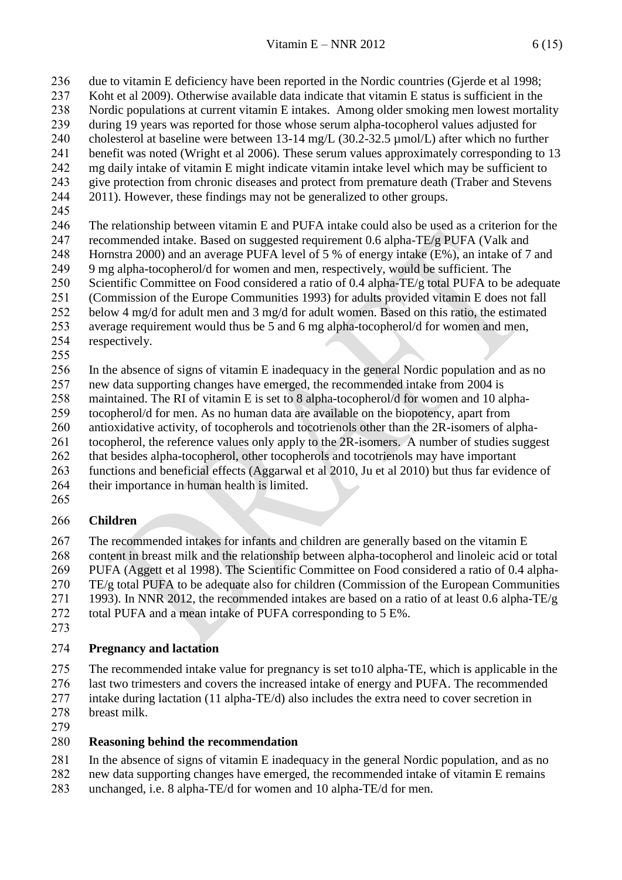due to vitamin E deficiency have been reported in the Nordic countries (Gjerde et al 1998;

- Koht et al 2009). Otherwise available data indicate that vitamin E status is sufficient in the Nordic populations at current vitamin E intakes. Among older smoking men lowest mortality
- during 19 years was reported for those whose serum alpha-tocopherol values adjusted for
- 240 cholesterol at baseline were between 13-14 mg/L (30.2-32.5 µmol/L) after which no further
- benefit was noted (Wright et al 2006). These serum values approximately corresponding to 13
- mg daily intake of vitamin E might indicate vitamin intake level which may be sufficient to
- give protection from chronic diseases and protect from premature death (Traber and Stevens 2011). However, these findings may not be generalized to other groups.
- 
- 

 The relationship between vitamin E and PUFA intake could also be used as a criterion for the recommended intake. Based on suggested requirement 0.6 alpha-TE/g PUFA (Valk and Hornstra 2000) and an average PUFA level of 5 % of energy intake (E%), an intake of 7 and 9 mg alpha-tocopherol/d for women and men, respectively, would be sufficient. The Scientific Committee on Food considered a ratio of 0.4 alpha-TE/g total PUFA to be adequate (Commission of the Europe Communities 1993) for adults provided vitamin E does not fall below 4 mg/d for adult men and 3 mg/d for adult women. Based on this ratio, the estimated average requirement would thus be 5 and 6 mg alpha-tocopherol/d for women and men, respectively.

 In the absence of signs of vitamin E inadequacy in the general Nordic population and as no new data supporting changes have emerged, the recommended intake from 2004 is maintained. The RI of vitamin E is set to 8 alpha-tocopherol/d for women and 10 alpha-tocopherol/d for men. As no human data are available on the biopotency, apart from

antioxidative activity, of tocopherols and tocotrienols other than the 2R-isomers of alpha-

- tocopherol, the reference values only apply to the 2R-isomers. A number of studies suggest
- that besides alpha-tocopherol, other tocopherols and tocotrienols may have important
- functions and beneficial effects (Aggarwal et al 2010, Ju et al 2010) but thus far evidence of their importance in human health is limited.
- 

## <span id="page-5-0"></span>**Children**

 The recommended intakes for infants and children are generally based on the vitamin E content in breast milk and the relationship between alpha-tocopherol and linoleic acid or total PUFA (Aggett et al 1998). The Scientific Committee on Food considered a ratio of 0.4 alpha- TE/g total PUFA to be adequate also for children (Commission of the European Communities 271 1993). In NNR 2012, the recommended intakes are based on a ratio of at least 0.6 alpha-TE/g total PUFA and a mean intake of PUFA corresponding to 5 E%.

## <span id="page-5-1"></span>**Pregnancy and lactation**

 The recommended intake value for pregnancy is set to10 alpha-TE, which is applicable in the last two trimesters and covers the increased intake of energy and PUFA. The recommended intake during lactation (11 alpha-TE/d) also includes the extra need to cover secretion in breast milk.

# <span id="page-5-2"></span>**Reasoning behind the recommendation**

In the absence of signs of vitamin E inadequacy in the general Nordic population, and as no

- new data supporting changes have emerged, the recommended intake of vitamin E remains
- unchanged, i.e. 8 alpha-TE/d for women and 10 alpha-TE/d for men.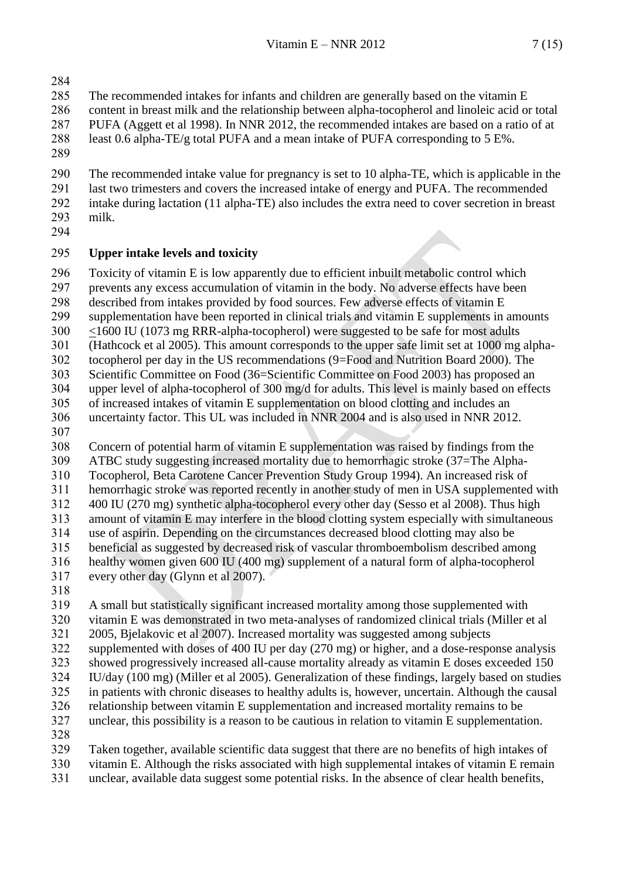- 
- The recommended intakes for infants and children are generally based on the vitamin E
- content in breast milk and the relationship between alpha-tocopherol and linoleic acid or total
- PUFA (Aggett et al 1998). In NNR 2012, the recommended intakes are based on a ratio of at
- least 0.6 alpha-TE/g total PUFA and a mean intake of PUFA corresponding to 5 E%.
- 

 The recommended intake value for pregnancy is set to 10 alpha-TE, which is applicable in the last two trimesters and covers the increased intake of energy and PUFA. The recommended intake during lactation (11 alpha-TE) also includes the extra need to cover secretion in breast milk.

## <span id="page-6-0"></span>**Upper intake levels and toxicity**

Toxicity of vitamin E is low apparently due to efficient inbuilt metabolic control which

- prevents any excess accumulation of vitamin in the body. No adverse effects have been
- described from intakes provided by food sources. Few adverse effects of vitamin E
- supplementation have been reported in clinical trials and vitamin E supplements in amounts
- <1600 IU (1073 mg RRR-alpha-tocopherol) were suggested to be safe for most adults
- (Hathcock et al 2005). This amount corresponds to the upper safe limit set at 1000 mg alpha-
- tocopherol per day in the US recommendations (9=Food and Nutrition Board 2000). The

 Scientific Committee on Food (36=Scientific Committee on Food 2003) has proposed an upper level of alpha-tocopherol of 300 mg/d for adults. This level is mainly based on effects

- of increased intakes of vitamin E supplementation on blood clotting and includes an
- uncertainty factor. This UL was included in NNR 2004 and is also used in NNR 2012.
- 

 Concern of potential harm of vitamin E supplementation was raised by findings from the ATBC study suggesting increased mortality due to hemorrhagic stroke (37=The Alpha-

- Tocopherol, Beta Carotene Cancer Prevention Study Group 1994). An increased risk of
- hemorrhagic stroke was reported recently in another study of men in USA supplemented with
- 400 IU (270 mg) synthetic alpha-tocopherol every other day (Sesso et al 2008). Thus high

 amount of vitamin E may interfere in the blood clotting system especially with simultaneous use of aspirin. Depending on the circumstances decreased blood clotting may also be

- beneficial as suggested by decreased risk of vascular thromboembolism described among
- healthy women given 600 IU (400 mg) supplement of a natural form of alpha-tocopherol
- every other day (Glynn et al 2007).
- 

 A small but statistically significant increased mortality among those supplemented with vitamin E was demonstrated in two meta-analyses of randomized clinical trials (Miller et al 2005, Bjelakovic et al 2007). Increased mortality was suggested among subjects supplemented with doses of 400 IU per day (270 mg) or higher, and a dose-response analysis showed progressively increased all-cause mortality already as vitamin E doses exceeded 150 IU/day (100 mg) (Miller et al 2005). Generalization of these findings, largely based on studies in patients with chronic diseases to healthy adults is, however, uncertain. Although the causal relationship between vitamin E supplementation and increased mortality remains to be unclear, this possibility is a reason to be cautious in relation to vitamin E supplementation.

Taken together, available scientific data suggest that there are no benefits of high intakes of

 vitamin E. Although the risks associated with high supplemental intakes of vitamin E remain unclear, available data suggest some potential risks. In the absence of clear health benefits,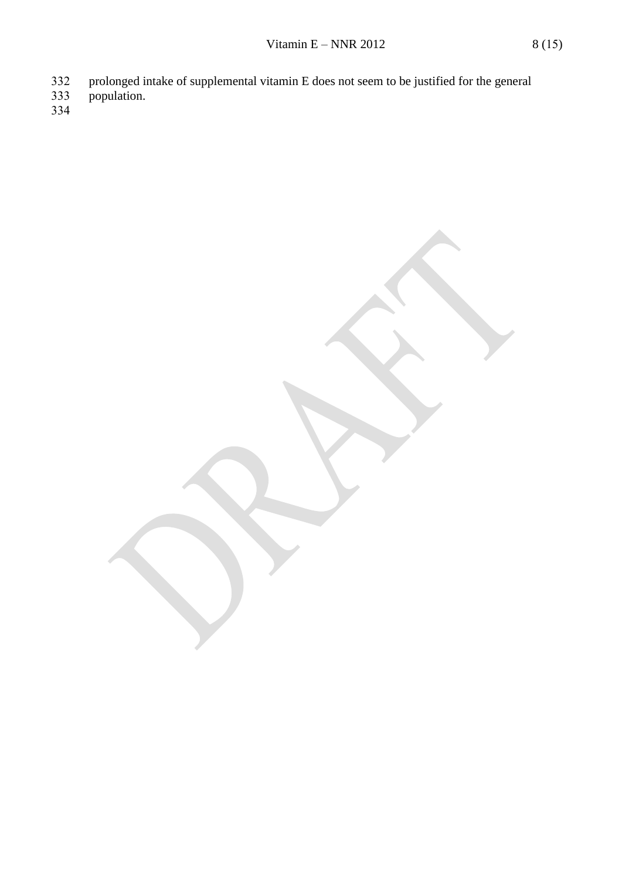- 333 population.
-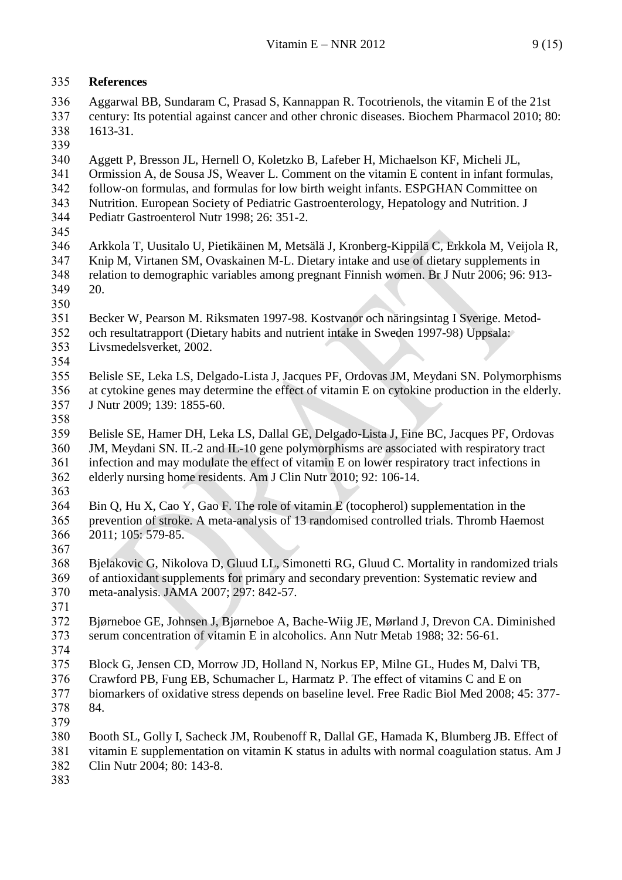#### <span id="page-8-0"></span>**References**

- Aggarwal BB, Sundaram C, Prasad S, Kannappan R. Tocotrienols, the vitamin E of the 21st century: Its potential against cancer and other chronic diseases. Biochem Pharmacol 2010; 80: 1613-31.
- 
- Aggett P, Bresson JL, Hernell O, Koletzko B, Lafeber H, Michaelson KF, Micheli JL,
- Ormission A, de Sousa JS, Weaver L. Comment on the vitamin E content in infant formulas,
- follow-on formulas, and formulas for low birth weight infants. ESPGHAN Committee on
- Nutrition. European Society of Pediatric Gastroenterology, Hepatology and Nutrition. J Pediatr Gastroenterol Nutr 1998; 26: 351-2.
- 
- Arkkola T, Uusitalo U, Pietikäinen M, Metsälä J, Kronberg-Kippilä C, Erkkola M, Veijola R, Knip M, Virtanen SM, Ovaskainen M-L. Dietary intake and use of dietary supplements in relation to demographic variables among pregnant Finnish women. Br J Nutr 2006; 96: 913- 20.
- 
- Becker W, Pearson M. Riksmaten 1997-98. Kostvanor och näringsintag I Sverige. Metod- och resultatrapport (Dietary habits and nutrient intake in Sweden 1997-98) Uppsala: Livsmedelsverket, 2002.
- 

 Belisle SE, Leka LS, Delgado-Lista J, Jacques PF, Ordovas JM, Meydani SN. Polymorphisms at cytokine genes may determine the effect of vitamin E on cytokine production in the elderly. J Nutr 2009; 139: 1855-60.

 Belisle SE, Hamer DH, Leka LS, Dallal GE, Delgado-Lista J, Fine BC, Jacques PF, Ordovas JM, Meydani SN. IL-2 and IL-10 gene polymorphisms are associated with respiratory tract infection and may modulate the effect of vitamin E on lower respiratory tract infections in elderly nursing home residents. Am J Clin Nutr 2010; 92: 106-14.

 Bin Q, Hu X, Cao Y, Gao F. The role of vitamin E (tocopherol) supplementation in the prevention of stroke. A meta-analysis of 13 randomised controlled trials. Thromb Haemost 2011; 105: 579-85.

 Bjelakovic G, Nikolova D, Gluud LL, Simonetti RG, Gluud C. Mortality in randomized trials of antioxidant supplements for primary and secondary prevention: Systematic review and meta-analysis. JAMA 2007; 297: 842-57.

 Bjørneboe GE, Johnsen J, Bjørneboe A, Bache-Wiig JE, Mørland J, Drevon CA. Diminished serum concentration of vitamin E in alcoholics. Ann Nutr Metab 1988; 32: 56-61. 

 Block G, Jensen CD, Morrow JD, Holland N, Norkus EP, Milne GL, Hudes M, Dalvi TB, Crawford PB, Fung EB, Schumacher L, Harmatz P. The effect of vitamins C and E on biomarkers of oxidative stress depends on baseline level. Free Radic Biol Med 2008; 45: 377- 84.

 Booth SL, Golly I, Sacheck JM, Roubenoff R, Dallal GE, Hamada K, Blumberg JB. Effect of vitamin E supplementation on vitamin K status in adults with normal coagulation status. Am J Clin Nutr 2004; 80: 143-8.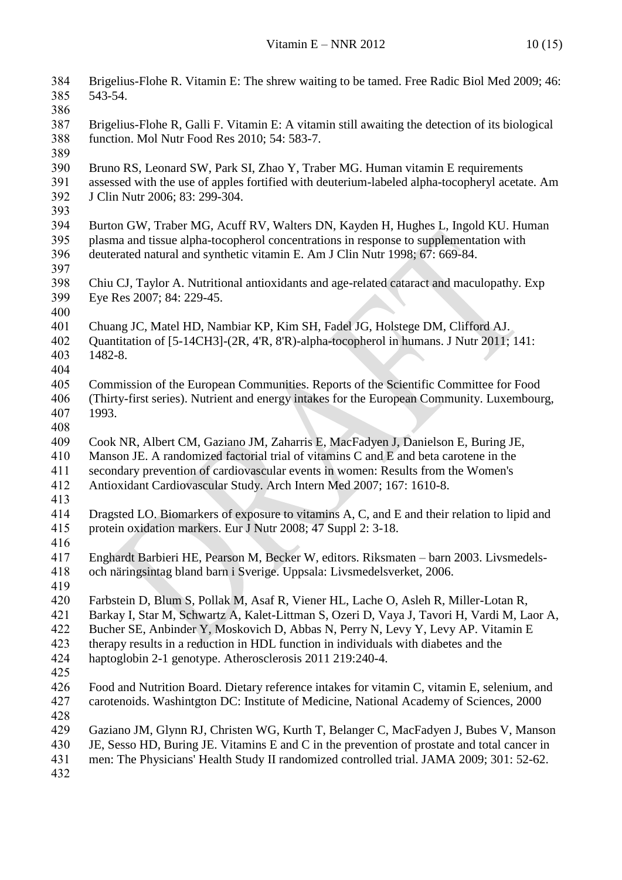| 384<br>385 | Brigelius-Flohe R. Vitamin E: The shrew waiting to be tamed. Free Radic Biol Med 2009; 46:<br>543-54. |
|------------|-------------------------------------------------------------------------------------------------------|
| 386        |                                                                                                       |
| 387        | Brigelius-Flohe R, Galli F. Vitamin E: A vitamin still awaiting the detection of its biological       |
| 388        | function. Mol Nutr Food Res 2010; 54: 583-7.                                                          |
| 389        |                                                                                                       |
| 390        | Bruno RS, Leonard SW, Park SI, Zhao Y, Traber MG. Human vitamin E requirements                        |
| 391        | assessed with the use of apples fortified with deuterium-labeled alpha-tocopheryl acetate. Am         |
| 392        | J Clin Nutr 2006; 83: 299-304.                                                                        |
| 393        |                                                                                                       |
| 394        | Burton GW, Traber MG, Acuff RV, Walters DN, Kayden H, Hughes L, Ingold KU. Human                      |
| 395        | plasma and tissue alpha-tocopherol concentrations in response to supplementation with                 |
| 396        | deuterated natural and synthetic vitamin E. Am J Clin Nutr 1998; 67: 669-84.                          |
| 397        |                                                                                                       |
| 398        | Chiu CJ, Taylor A. Nutritional antioxidants and age-related cataract and maculopathy. Exp             |
| 399        | Eye Res 2007; 84: 229-45.                                                                             |
| 400        |                                                                                                       |
| 401        | Chuang JC, Matel HD, Nambiar KP, Kim SH, Fadel JG, Holstege DM, Clifford AJ.                          |
| 402        | Quantitation of [5-14CH3]-(2R, 4'R, 8'R)-alpha-tocopherol in humans. J Nutr 2011; 141:                |
| 403        | 1482-8.                                                                                               |
| 404        |                                                                                                       |
| 405        | Commission of the European Communities. Reports of the Scientific Committee for Food                  |
| 406        | (Thirty-first series). Nutrient and energy intakes for the European Community. Luxembourg,            |
| 407        | 1993.                                                                                                 |
| 408        |                                                                                                       |
| 409        | Cook NR, Albert CM, Gaziano JM, Zaharris E, MacFadyen J, Danielson E, Buring JE,                      |
| 410        | Manson JE. A randomized factorial trial of vitamins C and E and beta carotene in the                  |
| 411        | secondary prevention of cardiovascular events in women: Results from the Women's                      |
| 412        | Antioxidant Cardiovascular Study. Arch Intern Med 2007; 167: 1610-8.                                  |
| 413        |                                                                                                       |
| 414        | Dragsted LO. Biomarkers of exposure to vitamins A, C, and E and their relation to lipid and           |
| 415        | protein oxidation markers. Eur J Nutr 2008; 47 Suppl 2: 3-18.                                         |
| 416        |                                                                                                       |
| 417        | Enghardt Barbieri HE, Pearson M, Becker W, editors. Riksmaten – barn 2003. Livsmedels-                |
| 418        | och näringsintag bland barn i Sverige. Uppsala: Livsmedelsverket, 2006.                               |
| 419        |                                                                                                       |
| 420        | Farbstein D, Blum S, Pollak M, Asaf R, Viener HL, Lache O, Asleh R, Miller-Lotan R,                   |
| 421        | Barkay I, Star M, Schwartz A, Kalet-Littman S, Ozeri D, Vaya J, Tavori H, Vardi M, Laor A,            |
| 422        | Bucher SE, Anbinder Y, Moskovich D, Abbas N, Perry N, Levy Y, Levy AP. Vitamin E                      |
| 423        | therapy results in a reduction in HDL function in individuals with diabetes and the                   |
| 424        | haptoglobin 2-1 genotype. Atherosclerosis 2011 219:240-4.                                             |
| 425        |                                                                                                       |
| 426        | Food and Nutrition Board. Dietary reference intakes for vitamin C, vitamin E, selenium, and           |
| 427        | carotenoids. Washintgton DC: Institute of Medicine, National Academy of Sciences, 2000                |
| 428        |                                                                                                       |
| 429        | Gaziano JM, Glynn RJ, Christen WG, Kurth T, Belanger C, MacFadyen J, Bubes V, Manson                  |
| 430        | JE, Sesso HD, Buring JE. Vitamins E and C in the prevention of prostate and total cancer in           |
| 431        | men: The Physicians' Health Study II randomized controlled trial. JAMA 2009; 301: 52-62.              |
| 432        |                                                                                                       |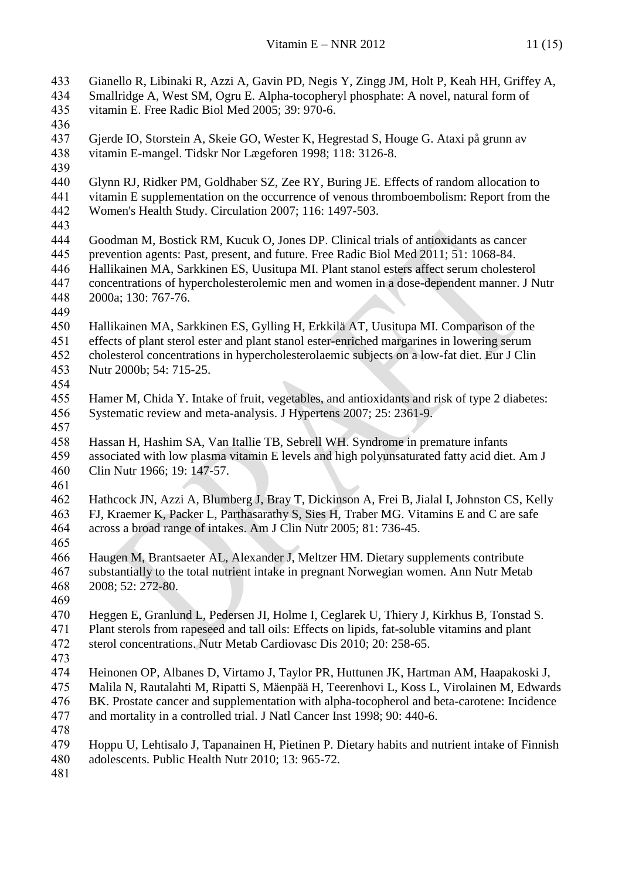- Gianello R, Libinaki R, Azzi A, Gavin PD, Negis Y, Zingg JM, Holt P, Keah HH, Griffey A, Smallridge A, West SM, Ogru E. Alpha-tocopheryl phosphate: A novel, natural form of vitamin E. Free Radic Biol Med 2005; 39: 970-6. Gjerde IO, Storstein A, Skeie GO, Wester K, Hegrestad S, Houge G. Ataxi på grunn av vitamin E-mangel. Tidskr Nor Lægeforen 1998; 118: 3126-8. Glynn RJ, Ridker PM, Goldhaber SZ, Zee RY, Buring JE. Effects of random allocation to vitamin E supplementation on the occurrence of venous thromboembolism: Report from the Women's Health Study. Circulation 2007; 116: 1497-503. Goodman M, Bostick RM, Kucuk O, Jones DP. Clinical trials of antioxidants as cancer prevention agents: Past, present, and future. Free Radic Biol Med 2011; 51: 1068-84. Hallikainen MA, Sarkkinen ES, Uusitupa MI. Plant stanol esters affect serum cholesterol concentrations of hypercholesterolemic men and women in a dose-dependent manner. J Nutr 2000a; 130: 767-76. Hallikainen MA, Sarkkinen ES, Gylling H, Erkkilä AT, Uusitupa MI. Comparison of the effects of plant sterol ester and plant stanol ester-enriched margarines in lowering serum cholesterol concentrations in hypercholesterolaemic subjects on a low-fat diet. Eur J Clin Nutr 2000b; 54: 715-25. Hamer M, Chida Y. Intake of fruit, vegetables, and antioxidants and risk of type 2 diabetes: Systematic review and meta-analysis. J Hypertens 2007; 25: 2361-9. Hassan H, Hashim SA, Van Itallie TB, Sebrell WH. Syndrome in premature infants associated with low plasma vitamin E levels and high polyunsaturated fatty acid diet. Am J Clin Nutr 1966; 19: 147-57. [Hathcock JN,](http://www.ncbi.nlm.nih.gov/pubmed?term=%22Hathcock%20JN%22%5BAuthor%5D) [Azzi A,](http://www.ncbi.nlm.nih.gov/pubmed?term=%22Azzi%20A%22%5BAuthor%5D) [Blumberg J,](http://www.ncbi.nlm.nih.gov/pubmed?term=%22Blumberg%20J%22%5BAuthor%5D) [Bray T,](http://www.ncbi.nlm.nih.gov/pubmed?term=%22Bray%20T%22%5BAuthor%5D) [Dickinson A,](http://www.ncbi.nlm.nih.gov/pubmed?term=%22Dickinson%20A%22%5BAuthor%5D) [Frei B,](http://www.ncbi.nlm.nih.gov/pubmed?term=%22Frei%20B%22%5BAuthor%5D) [Jialal I,](http://www.ncbi.nlm.nih.gov/pubmed?term=%22Jialal%20I%22%5BAuthor%5D) [Johnston CS,](http://www.ncbi.nlm.nih.gov/pubmed?term=%22Johnston%20CS%22%5BAuthor%5D) [Kelly](http://www.ncbi.nlm.nih.gov/pubmed?term=%22Kelly%20FJ%22%5BAuthor%5D)  [FJ,](http://www.ncbi.nlm.nih.gov/pubmed?term=%22Kelly%20FJ%22%5BAuthor%5D) [Kraemer K,](http://www.ncbi.nlm.nih.gov/pubmed?term=%22Kraemer%20K%22%5BAuthor%5D) [Packer L,](http://www.ncbi.nlm.nih.gov/pubmed?term=%22Packer%20L%22%5BAuthor%5D) [Parthasarathy S,](http://www.ncbi.nlm.nih.gov/pubmed?term=%22Parthasarathy%20S%22%5BAuthor%5D) [Sies H,](http://www.ncbi.nlm.nih.gov/pubmed?term=%22Sies%20H%22%5BAuthor%5D) [Traber MG.](http://www.ncbi.nlm.nih.gov/pubmed?term=%22Traber%20MG%22%5BAuthor%5D) Vitamins E and C are safe across a broad range of intakes. Am J Clin Nutr 2005; 81: 736-45. Haugen M, Brantsaeter AL, Alexander J, Meltzer HM. Dietary supplements contribute substantially to the total nutrient intake in pregnant Norwegian women. Ann Nutr Metab 2008; 52: 272-80. [Heggen E,](http://www.ncbi.nlm.nih.gov/pubmed?term=%22Heggen%20E%22%5BAuthor%5D) [Granlund L,](http://www.ncbi.nlm.nih.gov/pubmed?term=%22Granlund%20L%22%5BAuthor%5D) [Pedersen JI,](http://www.ncbi.nlm.nih.gov/pubmed?term=%22Pedersen%20JI%22%5BAuthor%5D) [Holme I,](http://www.ncbi.nlm.nih.gov/pubmed?term=%22Holme%20I%22%5BAuthor%5D) [Ceglarek U,](http://www.ncbi.nlm.nih.gov/pubmed?term=%22Ceglarek%20U%22%5BAuthor%5D) [Thiery J,](http://www.ncbi.nlm.nih.gov/pubmed?term=%22Thiery%20J%22%5BAuthor%5D) [Kirkhus B,](http://www.ncbi.nlm.nih.gov/pubmed?term=%22Kirkhus%20B%22%5BAuthor%5D) [Tonstad S.](http://www.ncbi.nlm.nih.gov/pubmed?term=%22Tonstad%20S%22%5BAuthor%5D) Plant sterols from rapeseed and tall oils: Effects on lipids, fat-soluble vitamins and plant sterol concentrations. Nutr Metab Cardiovasc Dis 2010; 20: 258-65. Heinonen OP, Albanes D, Virtamo J, Taylor PR, Huttunen JK, Hartman AM, Haapakoski J, Malila N, Rautalahti M, Ripatti S, Mäenpää H, Teerenhovi L, Koss L, Virolainen M, Edwards BK. Prostate cancer and supplementation with alpha-tocopherol and beta-carotene: Incidence and mortality in a controlled trial. J Natl Cancer Inst 1998; 90: 440-6. Hoppu U, Lehtisalo J, Tapanainen H, Pietinen P. Dietary habits and nutrient intake of Finnish adolescents. Public Health Nutr 2010; 13: 965-72.
-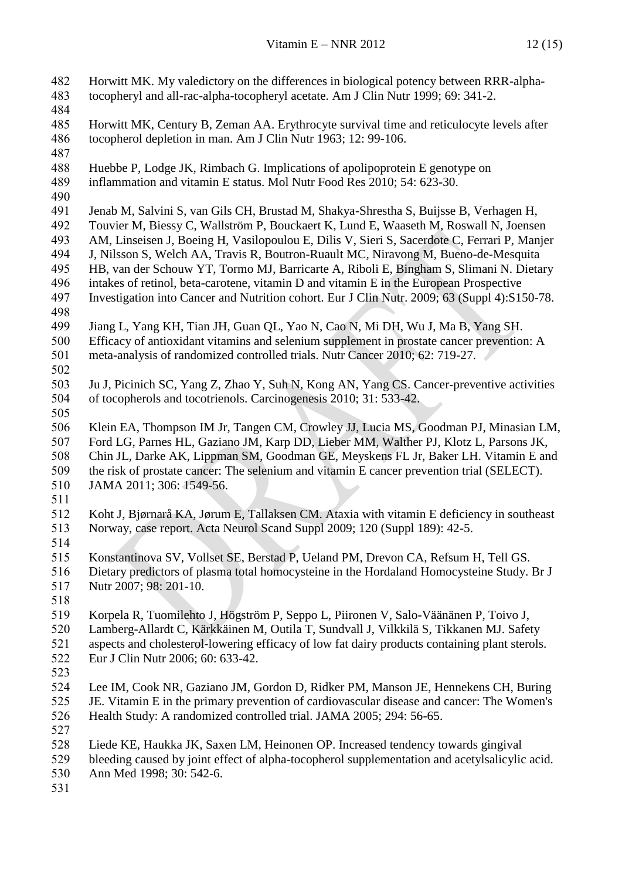[Horwitt MK.](http://www.ncbi.nlm.nih.gov/pubmed?term=%22Horwitt%20MK%22%5BAuthor%5D) My valedictory on the differences in biological potency between RRR-alpha- tocopheryl and all-rac-alpha-tocopheryl acetate. [Am J Clin Nutr](http://www.ncbi.nlm.nih.gov/pubmed?term=horwitt%20mk%20and%201999) 1999; 69: 341-2. Horwitt MK, Century B, Zeman AA. Erythrocyte survival time and reticulocyte levels after tocopherol depletion in man. Am J Clin Nutr 1963; 12: 99-106. Huebbe P, Lodge JK, Rimbach G. Implications of apolipoprotein E genotype on inflammation and vitamin E status. Mol Nutr Food Res 2010; 54: 623-30. Jenab M, Salvini S, van Gils CH, Brustad M, Shakya-Shrestha S, Buijsse B, Verhagen H, Touvier M, Biessy C, Wallström P, Bouckaert K, Lund E, Waaseth M, Roswall N, Joensen AM, Linseisen J, Boeing H, Vasilopoulou E, Dilis V, Sieri S, Sacerdote C, Ferrari P, Manjer J, Nilsson S, Welch AA, Travis R, Boutron-Ruault MC, Niravong M, Bueno-de-Mesquita HB, van der Schouw YT, Tormo MJ, Barricarte A, Riboli E, Bingham S, Slimani N. [Dietary](http://www.ncbi.nlm.nih.gov/pubmed/19888271)  [intakes of retinol, beta-carotene, vitamin D and vitamin E in the European Prospective](http://www.ncbi.nlm.nih.gov/pubmed/19888271)  [Investigation into Cancer and Nutrition cohort.](http://www.ncbi.nlm.nih.gov/pubmed/19888271) Eur J Clin Nutr. 2009; 63 (Suppl 4):S150-78. Jiang L, Yang KH, Tian JH, Guan QL, Yao N, Cao N, Mi DH, Wu J, Ma B, Yang SH. Efficacy of antioxidant vitamins and selenium supplement in prostate cancer prevention: A meta-analysis of randomized controlled trials. Nutr Cancer 2010; 62: 719-27. [Ju J,](http://www.ncbi.nlm.nih.gov/pubmed?term=%22Ju%20J%22%5BAuthor%5D) [Picinich SC,](http://www.ncbi.nlm.nih.gov/pubmed?term=%22Picinich%20SC%22%5BAuthor%5D) [Yang Z,](http://www.ncbi.nlm.nih.gov/pubmed?term=%22Yang%20Z%22%5BAuthor%5D) [Zhao Y,](http://www.ncbi.nlm.nih.gov/pubmed?term=%22Zhao%20Y%22%5BAuthor%5D) [Suh N,](http://www.ncbi.nlm.nih.gov/pubmed?term=%22Suh%20N%22%5BAuthor%5D) [Kong AN,](http://www.ncbi.nlm.nih.gov/pubmed?term=%22Kong%20AN%22%5BAuthor%5D) [Yang CS.](http://www.ncbi.nlm.nih.gov/pubmed?term=%22Yang%20CS%22%5BAuthor%5D) Cancer-preventive activities of tocopherols and tocotrienols. Carcinogenesis 2010; 31: 533-42. Klein EA, Thompson IM Jr, Tangen CM, Crowley JJ, Lucia MS, Goodman PJ, Minasian LM, Ford LG, Parnes HL, Gaziano JM, Karp DD, Lieber MM, Walther PJ, Klotz L, Parsons JK, Chin JL, Darke AK, Lippman SM, Goodman GE, Meyskens FL Jr, Baker LH. Vitamin E and the risk of prostate cancer: The selenium and vitamin E cancer prevention trial (SELECT). JAMA 2011; 306: 1549-56. [Koht J,](http://www.ncbi.nlm.nih.gov/pubmed?term=%22Koht%20J%22%5BAuthor%5D) [Bjørnarå KA,](http://www.ncbi.nlm.nih.gov/pubmed?term=%22Bj%C3%B8rnar%C3%A5%20KA%22%5BAuthor%5D) [Jørum E,](http://www.ncbi.nlm.nih.gov/pubmed?term=%22J%C3%B8rum%20E%22%5BAuthor%5D) [Tallaksen CM.](http://www.ncbi.nlm.nih.gov/pubmed?term=%22Tallaksen%20CM%22%5BAuthor%5D) Ataxia with vitamin E deficiency in southeast Norway, case report. Acta Neurol Scand Suppl 2009; 120 (Suppl 189): 42-5. Konstantinova SV, Vollset SE, Berstad P, Ueland PM, Drevon CA, Refsum H, Tell GS. [Dietary predictors of plasma total homocysteine in the Hordaland](http://www.ncbi.nlm.nih.gov/pubmed/17391553) Homocysteine Study. Br J Nutr 2007; 98: 201-10. Korpela R, Tuomilehto J, Högström P, Seppo L, Piironen V, Salo-Väänänen P, Toivo J, Lamberg-Allardt C, Kärkkäinen M, Outila T, Sundvall J, Vilkkilä S, Tikkanen MJ. Safety aspects and cholesterol-lowering efficacy of low fat dairy products containing plant sterols. Eur J Clin Nutr 2006; 60: 633-42. Lee IM, Cook NR, Gaziano JM, Gordon D, Ridker PM, Manson JE, Hennekens CH, Buring JE. Vitamin E in the primary prevention of cardiovascular disease and cancer: The Women's Health Study: A randomized controlled trial. JAMA 2005; 294: 56-65. Liede KE, Haukka JK, Saxen LM, Heinonen OP. Increased tendency towards gingival bleeding caused by joint effect of alpha-tocopherol supplementation and acetylsalicylic acid. Ann Med 1998; 30: 542-6.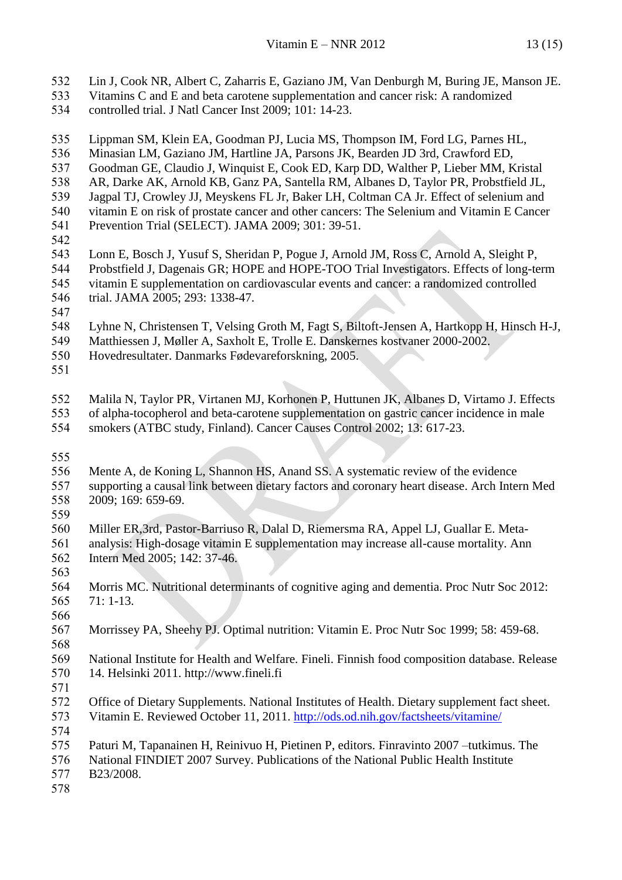- Lin J, Cook NR, Albert C, Zaharris E, Gaziano JM, Van Denburgh M, Buring JE, Manson JE.
- Vitamins C and E and beta carotene supplementation and cancer risk: A randomized
- controlled trial. J Natl Cancer Inst 2009; 101: 14-23.
- Lippman SM, Klein EA, Goodman PJ, Lucia MS, Thompson IM, Ford LG, Parnes HL,
- Minasian LM, Gaziano JM, Hartline JA, Parsons JK, Bearden JD 3rd, Crawford ED,
- Goodman GE, Claudio J, Winquist E, Cook ED, Karp DD, Walther P, Lieber MM, Kristal
- AR, Darke AK, Arnold KB, Ganz PA, Santella RM, Albanes D, Taylor PR, Probstfield JL,
- Jagpal TJ, Crowley JJ, Meyskens FL Jr, Baker LH, Coltman CA Jr. Effect of selenium and
- vitamin E on risk of prostate cancer and other cancers: The Selenium and Vitamin E Cancer Prevention Trial (SELECT). JAMA 2009; 301: 39-51.
- 
- Lonn E, Bosch J, Yusuf S, Sheridan P, Pogue J, Arnold JM, Ross C, Arnold A, Sleight P, Probstfield J, Dagenais GR; HOPE and HOPE-TOO Trial Investigators. [Effects of long-term](http://www.ncbi.nlm.nih.gov/pubmed/15769967)  [vitamin E supplementation on cardiovascular events and cancer: a randomized controlled](http://www.ncbi.nlm.nih.gov/pubmed/15769967)
- [trial.](http://www.ncbi.nlm.nih.gov/pubmed/15769967) JAMA 2005; 293: 1338-47.
- 
- Lyhne N, Christensen T, Velsing Groth M, Fagt S, Biltoft-Jensen A, Hartkopp H, Hinsch H-J,
- Matthiessen J, Møller A, Saxholt E, Trolle E. Danskernes kostvaner 2000-2002.
- Hovedresultater. Danmarks Fødevareforskning, 2005.
- 

 Malila N, Taylor PR, Virtanen MJ, Korhonen P, Huttunen JK, Albanes D, Virtamo J. Effects of alpha-tocopherol and beta-carotene supplementation on gastric cancer incidence in male

- smokers (ATBC study, Finland). Cancer Causes Control 2002; 13: 617-23.
- 
- Mente A, de Koning L, Shannon HS, Anand SS. A systematic review of the evidence supporting a causal link between dietary factors and coronary heart disease. Arch Intern Med 2009; 169: 659-69.
- 
- Miller ER,3rd, Pastor-Barriuso R, Dalal D, Riemersma RA, Appel LJ, Guallar E. Meta- analysis: High-dosage vitamin E supplementation may increase all-cause mortality. Ann Intern Med 2005; 142: 37-46.
- 
- Morris MC. Nutritional determinants of cognitive aging and dementia. Proc Nutr Soc 2012: 71: 1-13.
- 
- Morrissey PA, Sheehy PJ. Optimal nutrition: Vitamin E. Proc Nutr Soc 1999; 58: 459-68.
- 
- National Institute for Health and Welfare. Fineli. Finnish food composition database. Release 14. Helsinki 2011. http://www.fineli.fi
- 
- Office of Dietary Supplements. National Institutes of Health. Dietary supplement fact sheet. Vitamin E. Reviewed October 11, 2011.<http://ods.od.nih.gov/factsheets/vitamine/>
- Paturi M, Tapanainen H, Reinivuo H, Pietinen P, editors. Finravinto 2007 –tutkimus. The National FINDIET 2007 Survey. Publications of the National Public Health Institute
- B23/2008.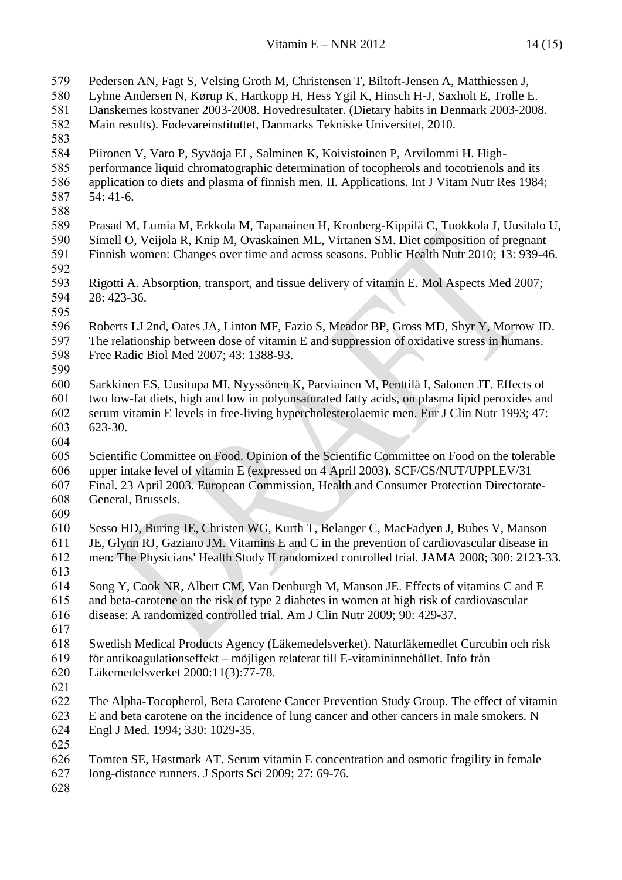| 579 | Pedersen AN, Fagt S, Velsing Groth M, Christensen T, Biltoft-Jensen A, Matthiessen J,         |
|-----|-----------------------------------------------------------------------------------------------|
| 580 | Lyhne Andersen N, Kørup K, Hartkopp H, Hess Ygil K, Hinsch H-J, Saxholt E, Trolle E.          |
| 581 | Danskernes kostvaner 2003-2008. Hovedresultater. (Dietary habits in Denmark 2003-2008.        |
| 582 | Main results). Fødevareinstituttet, Danmarks Tekniske Universitet, 2010.                      |
| 583 |                                                                                               |
| 584 | Piironen V, Varo P, Syväoja EL, Salminen K, Koivistoinen P, Arvilommi H. High-                |
| 585 | performance liquid chromatographic determination of tocopherols and tocotrienols and its      |
| 586 | application to diets and plasma of finnish men. II. Applications. Int J Vitam Nutr Res 1984;  |
| 587 | $54:41-6.$                                                                                    |
| 588 |                                                                                               |
| 589 | Prasad M, Lumia M, Erkkola M, Tapanainen H, Kronberg-Kippilä C, Tuokkola J, Uusitalo U,       |
| 590 | Simell O, Veijola R, Knip M, Ovaskainen ML, Virtanen SM. Diet composition of pregnant         |
| 591 | Finnish women: Changes over time and across seasons. Public Health Nutr 2010; 13: 939-46.     |
| 592 |                                                                                               |
| 593 | Rigotti A. Absorption, transport, and tissue delivery of vitamin E. Mol Aspects Med 2007;     |
| 594 | 28: 423-36.                                                                                   |
| 595 |                                                                                               |
| 596 | Roberts LJ 2nd, Oates JA, Linton MF, Fazio S, Meador BP, Gross MD, Shyr Y, Morrow JD.         |
| 597 | The relationship between dose of vitamin E and suppression of oxidative stress in humans.     |
| 598 | Free Radic Biol Med 2007; 43: 1388-93.                                                        |
| 599 |                                                                                               |
| 600 | Sarkkinen ES, Uusitupa MI, Nyyssönen K, Parviainen M, Penttilä I, Salonen JT. Effects of      |
| 601 | two low-fat diets, high and low in polyunsaturated fatty acids, on plasma lipid peroxides and |
| 602 | serum vitamin E levels in free-living hypercholesterolaemic men. Eur J Clin Nutr 1993; 47:    |
| 603 | 623-30.                                                                                       |
| 604 |                                                                                               |
| 605 | Scientific Committee on Food. Opinion of the Scientific Committee on Food on the tolerable    |
| 606 | upper intake level of vitamin E (expressed on 4 April 2003). SCF/CS/NUT/UPPLEV/31             |
| 607 | Final. 23 April 2003. European Commission, Health and Consumer Protection Directorate-        |
| 608 | General, Brussels.                                                                            |
| 609 |                                                                                               |
| 610 | Sesso HD, Buring JE, Christen WG, Kurth T, Belanger C, MacFadyen J, Bubes V, Manson           |
| 611 | JE, Glynn RJ, Gaziano JM. Vitamins E and C in the prevention of cardiovascular disease in     |
| 612 | men: The Physicians' Health Study II randomized controlled trial. JAMA 2008; 300: 2123-33.    |
| 613 |                                                                                               |
| 614 | Song Y, Cook NR, Albert CM, Van Denburgh M, Manson JE. Effects of vitamins C and E            |
| 615 | and beta-carotene on the risk of type 2 diabetes in women at high risk of cardiovascular      |
| 616 | disease: A randomized controlled trial. Am J Clin Nutr 2009; 90: 429-37.                      |
| 617 |                                                                                               |
| 618 | Swedish Medical Products Agency (Läkemedelsverket). Naturläkemedlet Curcubin och risk         |
| 619 | för antikoagulationseffekt – möjligen relaterat till E-vitamininnehållet. Info från           |
| 620 | Läkemedelsverket 2000:11(3):77-78.                                                            |
| 621 |                                                                                               |
| 622 | The Alpha-Tocopherol, Beta Carotene Cancer Prevention Study Group. The effect of vitamin      |
| 623 | E and beta carotene on the incidence of lung cancer and other cancers in male smokers. N      |
| 624 | Engl J Med. 1994; 330: 1029-35.                                                               |
| 625 |                                                                                               |
| 626 | Tomten SE, Høstmark AT. Serum vitamin E concentration and osmotic fragility in female         |
| 627 | long-distance runners. J Sports Sci 2009; 27: 69-76.                                          |
|     |                                                                                               |